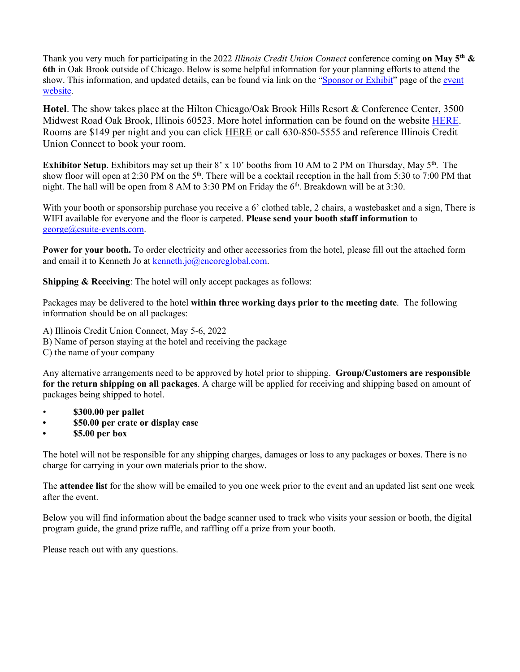Thank you very much for participating in the 2022 *Illinois Credit Union Connect* conference coming **on May 5th & 6th** in Oak Brook outside of Chicago. Below is some helpful information for your planning efforts to attend the show. This information, and updated details, can be found via link on the ["Sponsor or Exhibit"](https://www.csuite-events.com/tennessee-2021-sponsorship-exhibiting-opps/) page of the [event](https://www.csuite-events.com/tennessee-home-page/)  [website.](https://www.csuite-events.com/tennessee-home-page/)

**Hotel**. The show takes place at the Hilton Chicago/Oak Brook Hills Resort & Conference Center, 3500 Midwest Road Oak Brook, Illinois 60523. More hotel information can be found on the website [HERE.](https://www.csuite-events.com/illinois-hotel-info/) Rooms are \$149 per night and you can click [HERE](https://www.hilton.com/en/attend-my-event/chibhhh-illcuc-fad510ba-f85c-4d09-815a-ad7b0674532e/) or call 630-850-5555 and reference Illinois Credit Union Connect to book your room.

**Exhibitor Setup**. Exhibitors may set up their 8' x 10' booths from 10 AM to 2 PM on Thursday, May 5<sup>th</sup>. The show floor will open at 2:30 PM on the  $5<sup>th</sup>$ . There will be a cocktail reception in the hall from 5:30 to 7:00 PM that night. The hall will be open from 8 AM to 3:30 PM on Friday the 6<sup>th</sup>. Breakdown will be at 3:30.

With your booth or sponsorship purchase you receive a 6' clothed table, 2 chairs, a wastebasket and a sign, There is WIFI available for everyone and the floor is carpeted. **Please send your booth staff information** to [george@csuite-events.com.](mailto:george@csuite-events.com)

**Power for your booth.** To order electricity and other accessories from the hotel, please fill out the attached form and email it to Kenneth Jo a[t kenneth.jo@encoreglobal.com.](mailto:kenneth.jo@encoreglobal.com)

**Shipping & Receiving:** The hotel will only accept packages as follows:

Packages may be delivered to the hotel **within three working days prior to the meeting date**. The following information should be on all packages:

A) Illinois Credit Union Connect, May 5-6, 2022

- B) Name of person staying at the hotel and receiving the package
- C) the name of your company

Any alternative arrangements need to be approved by hotel prior to shipping. **Group/Customers are responsible for the return shipping on all packages**. A charge will be applied for receiving and shipping based on amount of packages being shipped to hotel.

- **\$300.00 per pallet**
- **• \$50.00 per crate or display case**
- **• \$5.00 per box**

The hotel will not be responsible for any shipping charges, damages or loss to any packages or boxes. There is no charge for carrying in your own materials prior to the show.

The **attendee list** for the show will be emailed to you one week prior to the event and an updated list sent one week after the event.

Below you will find information about the badge scanner used to track who visits your session or booth, the digital program guide, the grand prize raffle, and raffling off a prize from your booth.

Please reach out with any questions.